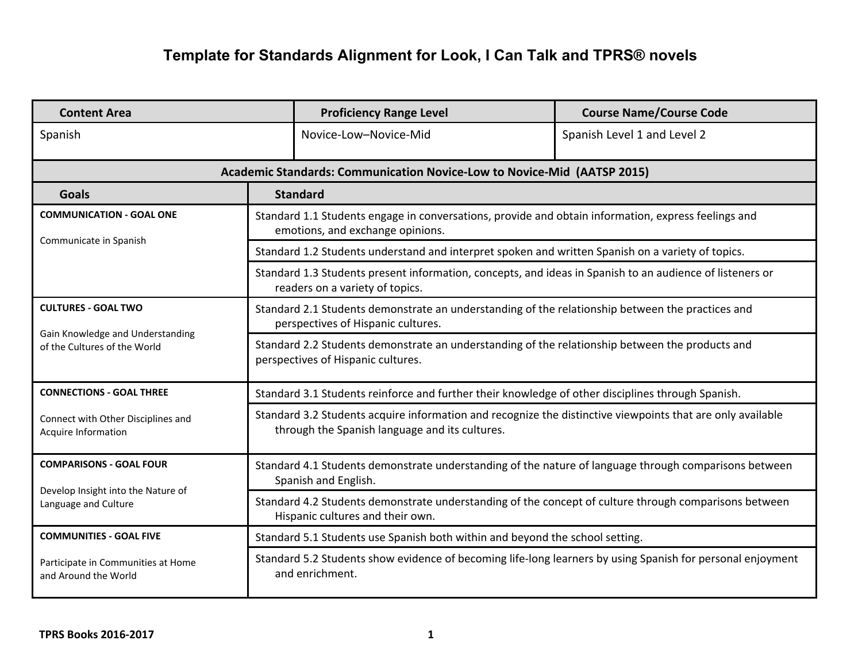## **Template for Standards Alignment for Look, I Can Talk and TPRS® novels**

| <b>Content Area</b>                                              |                                                                                                                                                              | <b>Proficiency Range Level</b>                                          | <b>Course Name/Course Code</b> |  |  |
|------------------------------------------------------------------|--------------------------------------------------------------------------------------------------------------------------------------------------------------|-------------------------------------------------------------------------|--------------------------------|--|--|
| Spanish                                                          |                                                                                                                                                              | Novice-Low-Novice-Mid                                                   | Spanish Level 1 and Level 2    |  |  |
|                                                                  |                                                                                                                                                              | Academic Standards: Communication Novice-Low to Novice-Mid (AATSP 2015) |                                |  |  |
| <b>Goals</b>                                                     | <b>Standard</b>                                                                                                                                              |                                                                         |                                |  |  |
| <b>COMMUNICATION - GOAL ONE</b>                                  | Standard 1.1 Students engage in conversations, provide and obtain information, express feelings and<br>emotions, and exchange opinions.                      |                                                                         |                                |  |  |
| Communicate in Spanish                                           | Standard 1.2 Students understand and interpret spoken and written Spanish on a variety of topics.                                                            |                                                                         |                                |  |  |
|                                                                  | Standard 1.3 Students present information, concepts, and ideas in Spanish to an audience of listeners or<br>readers on a variety of topics.                  |                                                                         |                                |  |  |
| <b>CULTURES - GOAL TWO</b>                                       | Standard 2.1 Students demonstrate an understanding of the relationship between the practices and<br>perspectives of Hispanic cultures.                       |                                                                         |                                |  |  |
| Gain Knowledge and Understanding<br>of the Cultures of the World | Standard 2.2 Students demonstrate an understanding of the relationship between the products and<br>perspectives of Hispanic cultures.                        |                                                                         |                                |  |  |
| <b>CONNECTIONS - GOAL THREE</b>                                  | Standard 3.1 Students reinforce and further their knowledge of other disciplines through Spanish.                                                            |                                                                         |                                |  |  |
| Connect with Other Disciplines and<br>Acquire Information        | Standard 3.2 Students acquire information and recognize the distinctive viewpoints that are only available<br>through the Spanish language and its cultures. |                                                                         |                                |  |  |
| <b>COMPARISONS - GOAL FOUR</b>                                   | Standard 4.1 Students demonstrate understanding of the nature of language through comparisons between<br>Spanish and English.                                |                                                                         |                                |  |  |
| Develop Insight into the Nature of<br>Language and Culture       | Standard 4.2 Students demonstrate understanding of the concept of culture through comparisons between<br>Hispanic cultures and their own.                    |                                                                         |                                |  |  |
| <b>COMMUNITIES - GOAL FIVE</b>                                   | Standard 5.1 Students use Spanish both within and beyond the school setting.                                                                                 |                                                                         |                                |  |  |
| Participate in Communities at Home<br>and Around the World       | Standard 5.2 Students show evidence of becoming life-long learners by using Spanish for personal enjoyment<br>and enrichment.                                |                                                                         |                                |  |  |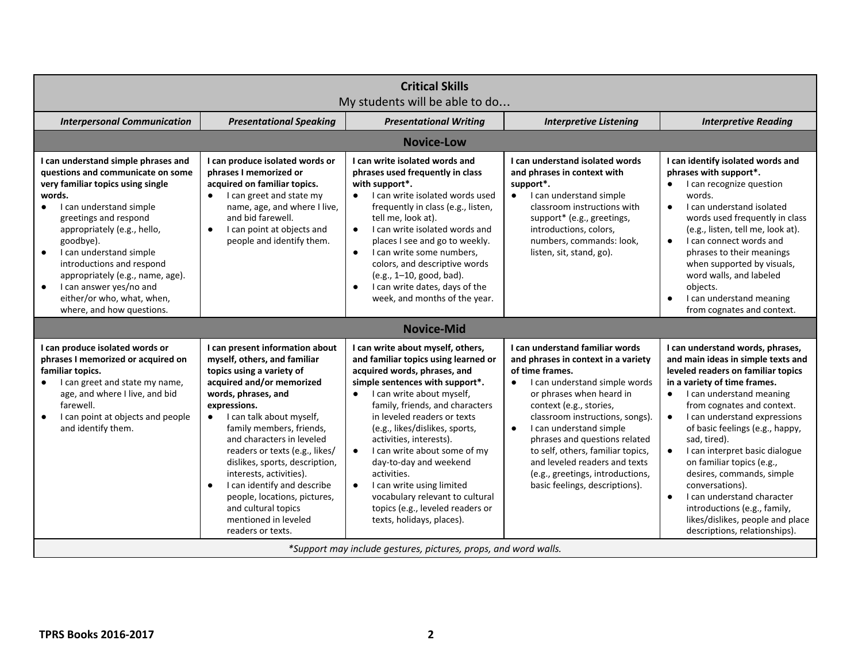| <b>Critical Skills</b><br>My students will be able to do                                                                                                                                                                                                                                                                                                                                                                                                                                  |                                                                                                                                                                                                                                                                                                                                                                                                                                                                                                                                                           |                                                                                                                                                                                                                                                                                                                                                                                                                                                        |                                                                                                                                                                                                                                                                                                                                                                                                                                                                                                                                                                                                 |  |  |  |
|-------------------------------------------------------------------------------------------------------------------------------------------------------------------------------------------------------------------------------------------------------------------------------------------------------------------------------------------------------------------------------------------------------------------------------------------------------------------------------------------|-----------------------------------------------------------------------------------------------------------------------------------------------------------------------------------------------------------------------------------------------------------------------------------------------------------------------------------------------------------------------------------------------------------------------------------------------------------------------------------------------------------------------------------------------------------|--------------------------------------------------------------------------------------------------------------------------------------------------------------------------------------------------------------------------------------------------------------------------------------------------------------------------------------------------------------------------------------------------------------------------------------------------------|-------------------------------------------------------------------------------------------------------------------------------------------------------------------------------------------------------------------------------------------------------------------------------------------------------------------------------------------------------------------------------------------------------------------------------------------------------------------------------------------------------------------------------------------------------------------------------------------------|--|--|--|
| <b>Presentational Speaking</b>                                                                                                                                                                                                                                                                                                                                                                                                                                                            | <b>Presentational Writing</b>                                                                                                                                                                                                                                                                                                                                                                                                                                                                                                                             | <b>Interpretive Listening</b>                                                                                                                                                                                                                                                                                                                                                                                                                          | <b>Interpretive Reading</b>                                                                                                                                                                                                                                                                                                                                                                                                                                                                                                                                                                     |  |  |  |
| <b>Novice-Low</b>                                                                                                                                                                                                                                                                                                                                                                                                                                                                         |                                                                                                                                                                                                                                                                                                                                                                                                                                                                                                                                                           |                                                                                                                                                                                                                                                                                                                                                                                                                                                        |                                                                                                                                                                                                                                                                                                                                                                                                                                                                                                                                                                                                 |  |  |  |
| I can produce isolated words or<br>phrases I memorized or<br>acquired on familiar topics.<br>I can greet and state my<br>name, age, and where I live,<br>and bid farewell.<br>I can point at objects and<br>people and identify them.                                                                                                                                                                                                                                                     | I can write isolated words and<br>phrases used frequently in class<br>with support*.<br>I can write isolated words used<br>frequently in class (e.g., listen,<br>tell me, look at).<br>I can write isolated words and<br>$\bullet$<br>places I see and go to weekly.<br>I can write some numbers,<br>$\bullet$<br>colors, and descriptive words<br>(e.g., 1-10, good, bad).<br>I can write dates, days of the<br>$\bullet$<br>week, and months of the year.                                                                                               | I can understand isolated words<br>and phrases in context with<br>support*.<br>I can understand simple<br>$\bullet$<br>classroom instructions with<br>support* (e.g., greetings,<br>introductions, colors,<br>numbers, commands: look,<br>listen, sit, stand, go).                                                                                                                                                                                     | I can identify isolated words and<br>phrases with support*.<br>I can recognize question<br>$\bullet$<br>words.<br>I can understand isolated<br>$\bullet$<br>words used frequently in class<br>(e.g., listen, tell me, look at).<br>I can connect words and<br>$\bullet$<br>phrases to their meanings<br>when supported by visuals,<br>word walls, and labeled<br>objects.<br>I can understand meaning<br>$\bullet$<br>from cognates and context.                                                                                                                                                |  |  |  |
|                                                                                                                                                                                                                                                                                                                                                                                                                                                                                           | <b>Novice-Mid</b>                                                                                                                                                                                                                                                                                                                                                                                                                                                                                                                                         |                                                                                                                                                                                                                                                                                                                                                                                                                                                        |                                                                                                                                                                                                                                                                                                                                                                                                                                                                                                                                                                                                 |  |  |  |
| I can present information about<br>myself, others, and familiar<br>topics using a variety of<br>acquired and/or memorized<br>words, phrases, and<br>expressions.<br>• I can talk about myself,<br>family members, friends,<br>and characters in leveled<br>readers or texts (e.g., likes/<br>dislikes, sports, description,<br>interests, activities).<br>I can identify and describe<br>people, locations, pictures,<br>and cultural topics<br>mentioned in leveled<br>readers or texts. | I can write about myself, others,<br>and familiar topics using learned or<br>acquired words, phrases, and<br>simple sentences with support*.<br>I can write about myself,<br>$\bullet$<br>family, friends, and characters<br>in leveled readers or texts<br>(e.g., likes/dislikes, sports,<br>activities, interests).<br>I can write about some of my<br>$\bullet$<br>day-to-day and weekend<br>activities.<br>I can write using limited<br>$\bullet$<br>vocabulary relevant to cultural<br>topics (e.g., leveled readers or<br>texts, holidays, places). | I can understand familiar words<br>and phrases in context in a variety<br>of time frames.<br>I can understand simple words<br>$\bullet$<br>or phrases when heard in<br>context (e.g., stories,<br>classroom instructions, songs).<br>I can understand simple<br>$\bullet$<br>phrases and questions related<br>to self, others, familiar topics,<br>and leveled readers and texts<br>(e.g., greetings, introductions,<br>basic feelings, descriptions). | I can understand words, phrases,<br>and main ideas in simple texts and<br>leveled readers on familiar topics<br>in a variety of time frames.<br>I can understand meaning<br>$\bullet$<br>from cognates and context.<br>I can understand expressions<br>$\bullet$<br>of basic feelings (e.g., happy,<br>sad, tired).<br>I can interpret basic dialogue<br>$\bullet$<br>on familiar topics (e.g.,<br>desires, commands, simple<br>conversations).<br>I can understand character<br>$\bullet$<br>introductions (e.g., family,<br>likes/dislikes, people and place<br>descriptions, relationships). |  |  |  |
|                                                                                                                                                                                                                                                                                                                                                                                                                                                                                           |                                                                                                                                                                                                                                                                                                                                                                                                                                                                                                                                                           |                                                                                                                                                                                                                                                                                                                                                                                                                                                        | *Support may include gestures, pictures, props, and word walls.                                                                                                                                                                                                                                                                                                                                                                                                                                                                                                                                 |  |  |  |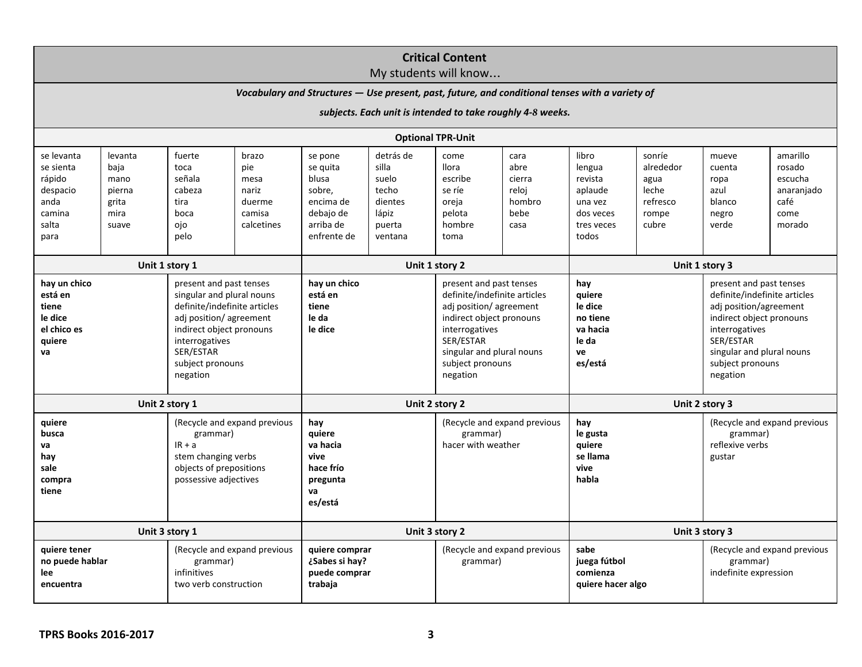| <b>Critical Content</b>                                                                                                                                                                    |                                                            |                                                                                                                                                                                                           |                |                                                                |                   |                                                                                                                                                                                                           |        |                                                                            |           |                                                                                                                                                                                                           |            |
|--------------------------------------------------------------------------------------------------------------------------------------------------------------------------------------------|------------------------------------------------------------|-----------------------------------------------------------------------------------------------------------------------------------------------------------------------------------------------------------|----------------|----------------------------------------------------------------|-------------------|-----------------------------------------------------------------------------------------------------------------------------------------------------------------------------------------------------------|--------|----------------------------------------------------------------------------|-----------|-----------------------------------------------------------------------------------------------------------------------------------------------------------------------------------------------------------|------------|
| My students will know<br>Vocabulary and Structures - Use present, past, future, and conditional tenses with a variety of                                                                   |                                                            |                                                                                                                                                                                                           |                |                                                                |                   |                                                                                                                                                                                                           |        |                                                                            |           |                                                                                                                                                                                                           |            |
|                                                                                                                                                                                            | subjects. Each unit is intended to take roughly 4-8 weeks. |                                                                                                                                                                                                           |                |                                                                |                   |                                                                                                                                                                                                           |        |                                                                            |           |                                                                                                                                                                                                           |            |
|                                                                                                                                                                                            |                                                            |                                                                                                                                                                                                           |                |                                                                |                   | <b>Optional TPR-Unit</b>                                                                                                                                                                                  |        |                                                                            |           |                                                                                                                                                                                                           |            |
| se levanta                                                                                                                                                                                 | levanta                                                    | fuerte<br>brazo                                                                                                                                                                                           |                | detrás de<br>se pone                                           |                   | come<br>cara                                                                                                                                                                                              |        | libro<br>sonríe                                                            |           | amarillo<br>mueve                                                                                                                                                                                         |            |
| se sienta                                                                                                                                                                                  | baja                                                       | toca                                                                                                                                                                                                      | pie            | se quita                                                       | silla             | <b>Ilora</b>                                                                                                                                                                                              | abre   | lengua                                                                     | alrededor | cuenta                                                                                                                                                                                                    | rosado     |
| rápido                                                                                                                                                                                     | mano                                                       | señala                                                                                                                                                                                                    | mesa           | blusa                                                          | suelo             | escribe                                                                                                                                                                                                   | cierra | revista                                                                    | agua      | ropa                                                                                                                                                                                                      | escucha    |
| despacio                                                                                                                                                                                   | pierna                                                     | cabeza                                                                                                                                                                                                    | nariz          | sobre,                                                         | techo             | se ríe                                                                                                                                                                                                    | reloj  | aplaude                                                                    | leche     | azul                                                                                                                                                                                                      | anaranjado |
| anda                                                                                                                                                                                       | grita                                                      | tira                                                                                                                                                                                                      | duerme         | encima de                                                      | dientes           | oreja                                                                                                                                                                                                     | hombro | una vez                                                                    | refresco  | blanco                                                                                                                                                                                                    | café       |
| camina                                                                                                                                                                                     | mira                                                       | boca                                                                                                                                                                                                      | camisa         | debajo de                                                      | lápiz             | pelota                                                                                                                                                                                                    | bebe   | dos veces                                                                  | rompe     | negro                                                                                                                                                                                                     | come       |
| salta<br>para                                                                                                                                                                              | suave                                                      | ojo<br>pelo                                                                                                                                                                                               | calcetines     | arriba de<br>enfrente de                                       | puerta<br>ventana | hombre<br>toma                                                                                                                                                                                            | casa   | tres veces<br>todos                                                        | cubre     | verde                                                                                                                                                                                                     | morado     |
|                                                                                                                                                                                            |                                                            |                                                                                                                                                                                                           |                |                                                                |                   |                                                                                                                                                                                                           |        |                                                                            |           |                                                                                                                                                                                                           |            |
| Unit 1 story 1                                                                                                                                                                             |                                                            | Unit 1 story 2                                                                                                                                                                                            |                |                                                                | Unit 1 story 3    |                                                                                                                                                                                                           |        |                                                                            |           |                                                                                                                                                                                                           |            |
| hay un chico<br>está en<br>tiene<br>le dice<br>el chico es<br>quiere<br>va                                                                                                                 |                                                            | present and past tenses<br>singular and plural nouns<br>definite/indefinite articles<br>adj position/agreement<br>indirect object pronouns<br>interrogatives<br>SER/ESTAR<br>subject pronouns<br>negation |                | hay un chico<br>está en<br>tiene<br>le da<br>le dice           |                   | present and past tenses<br>definite/indefinite articles<br>adj position/agreement<br>indirect object pronouns<br>interrogatives<br>SER/ESTAR<br>singular and plural nouns<br>subject pronouns<br>negation |        | hay<br>quiere<br>le dice<br>no tiene<br>va hacia<br>le da<br>ve<br>es/está |           | present and past tenses<br>definite/indefinite articles<br>adj position/agreement<br>indirect object pronouns<br>interrogatives<br>SER/ESTAR<br>singular and plural nouns<br>subject pronouns<br>negation |            |
| Unit 2 story 1                                                                                                                                                                             |                                                            | Unit 2 story 2                                                                                                                                                                                            |                |                                                                | Unit 2 story 3    |                                                                                                                                                                                                           |        |                                                                            |           |                                                                                                                                                                                                           |            |
| (Recycle and expand previous<br>quiere<br>busca<br>grammar)<br>$IR + a$<br>va<br>stem changing verbs<br>hay<br>sale<br>objects of prepositions<br>possessive adjectives<br>compra<br>tiene |                                                            | hay<br>quiere<br>va hacia<br>vive<br>hace frío<br>pregunta<br>va<br>es/está                                                                                                                               |                | (Recycle and expand previous<br>grammar)<br>hacer with weather |                   | hay<br>le gusta<br>quiere<br>se llama<br>vive<br>habla                                                                                                                                                    |        | (Recycle and expand previous<br>grammar)<br>reflexive verbs<br>gustar      |           |                                                                                                                                                                                                           |            |
| Unit 3 story 1                                                                                                                                                                             |                                                            |                                                                                                                                                                                                           | Unit 3 story 2 |                                                                |                   | Unit 3 story 3                                                                                                                                                                                            |        |                                                                            |           |                                                                                                                                                                                                           |            |
| (Recycle and expand previous<br>quiere tener<br>no puede hablar<br>grammar)<br>infinitives<br>lee<br>two verb construction<br>encuentra                                                    |                                                            | quiere comprar<br>¿Sabes si hay?<br>puede comprar<br>trabaja                                                                                                                                              |                | (Recycle and expand previous<br>grammar)                       |                   | sabe<br>juega fútbol<br>comienza<br>quiere hacer algo                                                                                                                                                     |        | (Recycle and expand previous<br>grammar)<br>indefinite expression          |           |                                                                                                                                                                                                           |            |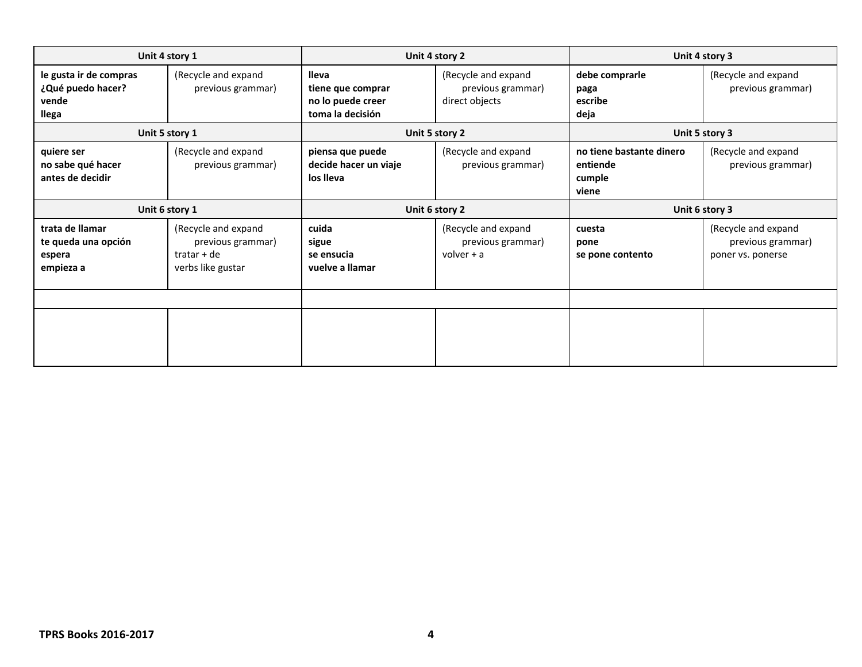| Unit 4 story 1                                                |                                                                                |                                                                     | Unit 4 story 2                                             | Unit 4 story 3                                          |                                                               |  |
|---------------------------------------------------------------|--------------------------------------------------------------------------------|---------------------------------------------------------------------|------------------------------------------------------------|---------------------------------------------------------|---------------------------------------------------------------|--|
| le gusta ir de compras<br>¿Qué puedo hacer?<br>vende<br>llega | (Recycle and expand<br>previous grammar)                                       | lleva<br>tiene que comprar<br>no lo puede creer<br>toma la decisión | (Recycle and expand<br>previous grammar)<br>direct objects | debe comprarle<br>paga<br>escribe<br>deja               | (Recycle and expand<br>previous grammar)                      |  |
|                                                               | Unit 5 story 1                                                                 |                                                                     | Unit 5 story 2                                             | Unit 5 story 3                                          |                                                               |  |
| quiere ser<br>no sabe qué hacer<br>antes de decidir           | (Recycle and expand<br>previous grammar)                                       | piensa que puede<br>decide hacer un viaje<br>los lleva              | (Recycle and expand<br>previous grammar)                   | no tiene bastante dinero<br>entiende<br>cumple<br>viene | (Recycle and expand<br>previous grammar)                      |  |
| Unit 6 story 1                                                |                                                                                | Unit 6 story 2                                                      |                                                            | Unit 6 story 3                                          |                                                               |  |
| trata de llamar<br>te queda una opción<br>espera<br>empieza a | (Recycle and expand<br>previous grammar)<br>$tratar + de$<br>verbs like gustar | cuida<br>sigue<br>se ensucia<br>vuelve a llamar                     | (Recycle and expand<br>previous grammar)<br>volver $+ a$   | cuesta<br>pone<br>se pone contento                      | (Recycle and expand<br>previous grammar)<br>poner vs. ponerse |  |
|                                                               |                                                                                |                                                                     |                                                            |                                                         |                                                               |  |
|                                                               |                                                                                |                                                                     |                                                            |                                                         |                                                               |  |